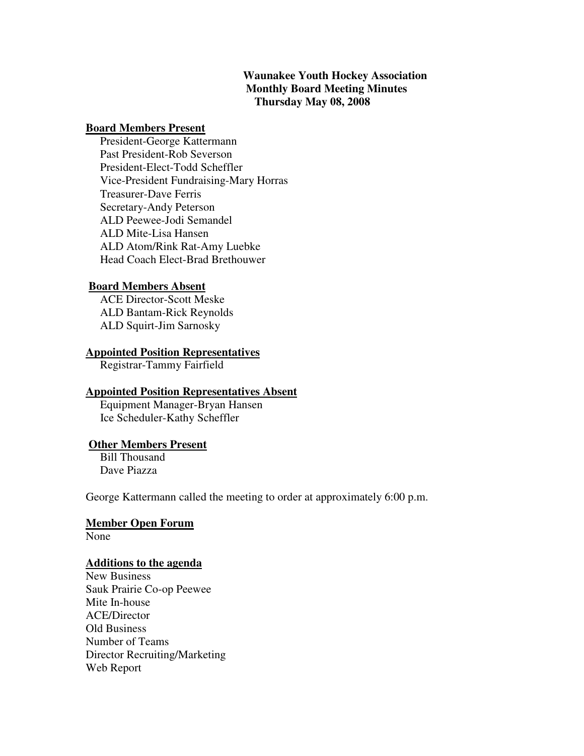### **Waunakee Youth Hockey Association Monthly Board Meeting Minutes Thursday May 08, 2008**

#### **Board Members Present**

 President-George Kattermann Past President-Rob Severson President-Elect-Todd Scheffler Vice-President Fundraising-Mary Horras Treasurer-Dave Ferris Secretary-Andy Peterson ALD Peewee-Jodi Semandel ALD Mite-Lisa Hansen ALD Atom/Rink Rat-Amy Luebke Head Coach Elect-Brad Brethouwer

### **Board Members Absent**

 ACE Director-Scott Meske ALD Bantam-Rick Reynolds ALD Squirt-Jim Sarnosky

#### **Appointed Position Representatives**

Registrar-Tammy Fairfield

#### **Appointed Position Representatives Absent**

 Equipment Manager-Bryan Hansen Ice Scheduler-Kathy Scheffler

### **Other Members Present**

 Bill Thousand Dave Piazza

George Kattermann called the meeting to order at approximately 6:00 p.m.

### **Member Open Forum**

None

#### **Additions to the agenda**

New Business Sauk Prairie Co-op Peewee Mite In-house ACE/Director Old Business Number of Teams Director Recruiting/Marketing Web Report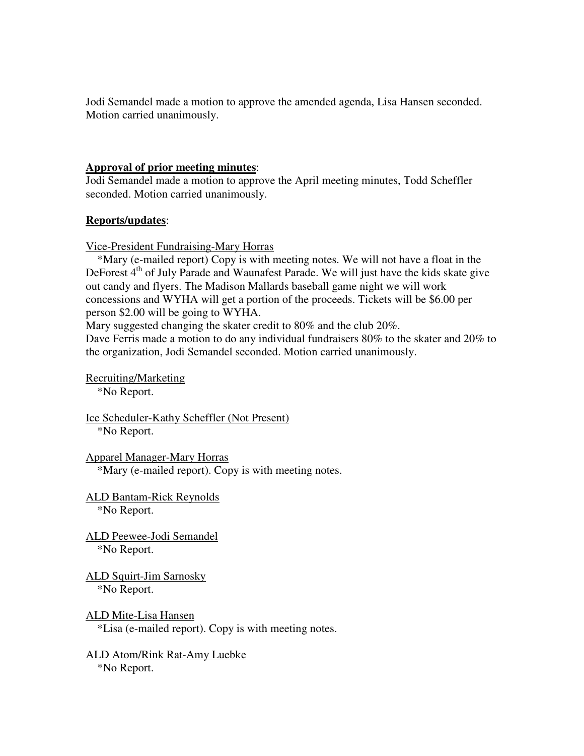Jodi Semandel made a motion to approve the amended agenda, Lisa Hansen seconded. Motion carried unanimously.

### **Approval of prior meeting minutes**:

Jodi Semandel made a motion to approve the April meeting minutes, Todd Scheffler seconded. Motion carried unanimously.

### **Reports/updates**:

Vice-President Fundraising-Mary Horras

\*Mary (e-mailed report) Copy is with meeting notes. We will not have a float in the DeForest  $4<sup>th</sup>$  of July Parade and Waunafest Parade. We will just have the kids skate give out candy and flyers. The Madison Mallards baseball game night we will work concessions and WYHA will get a portion of the proceeds. Tickets will be \$6.00 per person \$2.00 will be going to WYHA.

Mary suggested changing the skater credit to 80% and the club 20%.

Dave Ferris made a motion to do any individual fundraisers 80% to the skater and 20% to the organization, Jodi Semandel seconded. Motion carried unanimously.

Recruiting/Marketing \*No Report.

Ice Scheduler-Kathy Scheffler (Not Present) \*No Report.

Apparel Manager-Mary Horras \*Mary (e-mailed report). Copy is with meeting notes.

ALD Bantam-Rick Reynolds \*No Report.

ALD Peewee-Jodi Semandel \*No Report.

ALD Squirt-Jim Sarnosky \*No Report.

ALD Mite-Lisa Hansen \*Lisa (e-mailed report). Copy is with meeting notes.

ALD Atom/Rink Rat-Amy Luebke \*No Report.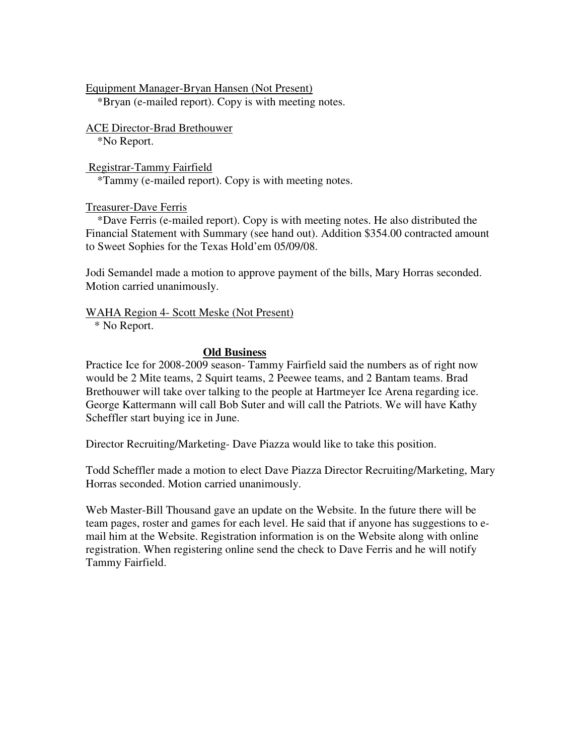Equipment Manager-Bryan Hansen (Not Present)

\*Bryan (e-mailed report). Copy is with meeting notes.

ACE Director-Brad Brethouwer

\*No Report.

 Registrar-Tammy Fairfield \*Tammy (e-mailed report). Copy is with meeting notes.

# Treasurer-Dave Ferris

 \*Dave Ferris (e-mailed report). Copy is with meeting notes. He also distributed the Financial Statement with Summary (see hand out). Addition \$354.00 contracted amount to Sweet Sophies for the Texas Hold'em 05/09/08.

Jodi Semandel made a motion to approve payment of the bills, Mary Horras seconded. Motion carried unanimously.

# WAHA Region 4- Scott Meske (Not Present)

\* No Report.

# **Old Business**

Practice Ice for 2008-2009 season- Tammy Fairfield said the numbers as of right now would be 2 Mite teams, 2 Squirt teams, 2 Peewee teams, and 2 Bantam teams. Brad Brethouwer will take over talking to the people at Hartmeyer Ice Arena regarding ice. George Kattermann will call Bob Suter and will call the Patriots. We will have Kathy Scheffler start buying ice in June.

Director Recruiting/Marketing- Dave Piazza would like to take this position.

Todd Scheffler made a motion to elect Dave Piazza Director Recruiting/Marketing, Mary Horras seconded. Motion carried unanimously.

Web Master-Bill Thousand gave an update on the Website. In the future there will be team pages, roster and games for each level. He said that if anyone has suggestions to email him at the Website. Registration information is on the Website along with online registration. When registering online send the check to Dave Ferris and he will notify Tammy Fairfield.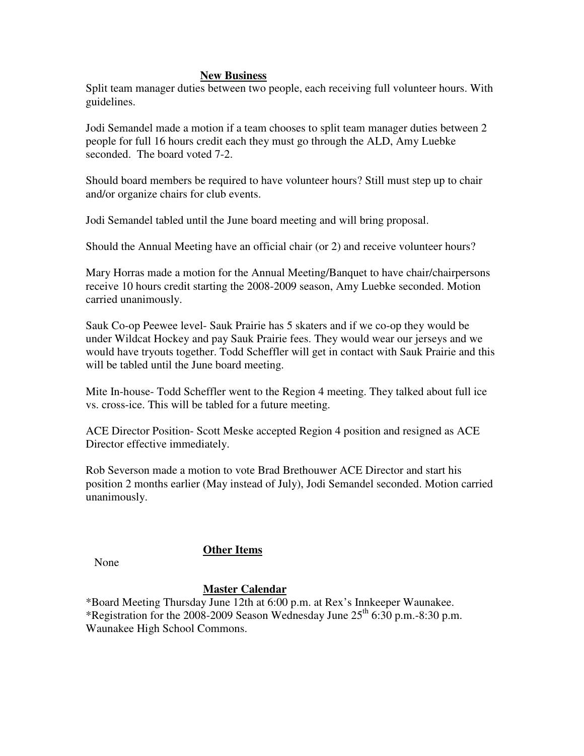#### **New Business**

Split team manager duties between two people, each receiving full volunteer hours. With guidelines.

Jodi Semandel made a motion if a team chooses to split team manager duties between 2 people for full 16 hours credit each they must go through the ALD, Amy Luebke seconded. The board voted 7-2.

Should board members be required to have volunteer hours? Still must step up to chair and/or organize chairs for club events.

Jodi Semandel tabled until the June board meeting and will bring proposal.

Should the Annual Meeting have an official chair (or 2) and receive volunteer hours?

Mary Horras made a motion for the Annual Meeting/Banquet to have chair/chairpersons receive 10 hours credit starting the 2008-2009 season, Amy Luebke seconded. Motion carried unanimously.

Sauk Co-op Peewee level- Sauk Prairie has 5 skaters and if we co-op they would be under Wildcat Hockey and pay Sauk Prairie fees. They would wear our jerseys and we would have tryouts together. Todd Scheffler will get in contact with Sauk Prairie and this will be tabled until the June board meeting.

Mite In-house- Todd Scheffler went to the Region 4 meeting. They talked about full ice vs. cross-ice. This will be tabled for a future meeting.

ACE Director Position- Scott Meske accepted Region 4 position and resigned as ACE Director effective immediately.

Rob Severson made a motion to vote Brad Brethouwer ACE Director and start his position 2 months earlier (May instead of July), Jodi Semandel seconded. Motion carried unanimously.

None

# **Other Items**

# **Master Calendar**

\*Board Meeting Thursday June 12th at 6:00 p.m. at Rex's Innkeeper Waunakee. \*Registration for the 2008-2009 Season Wednesday June  $25<sup>th</sup> 6:30$  p.m.-8:30 p.m. Waunakee High School Commons.